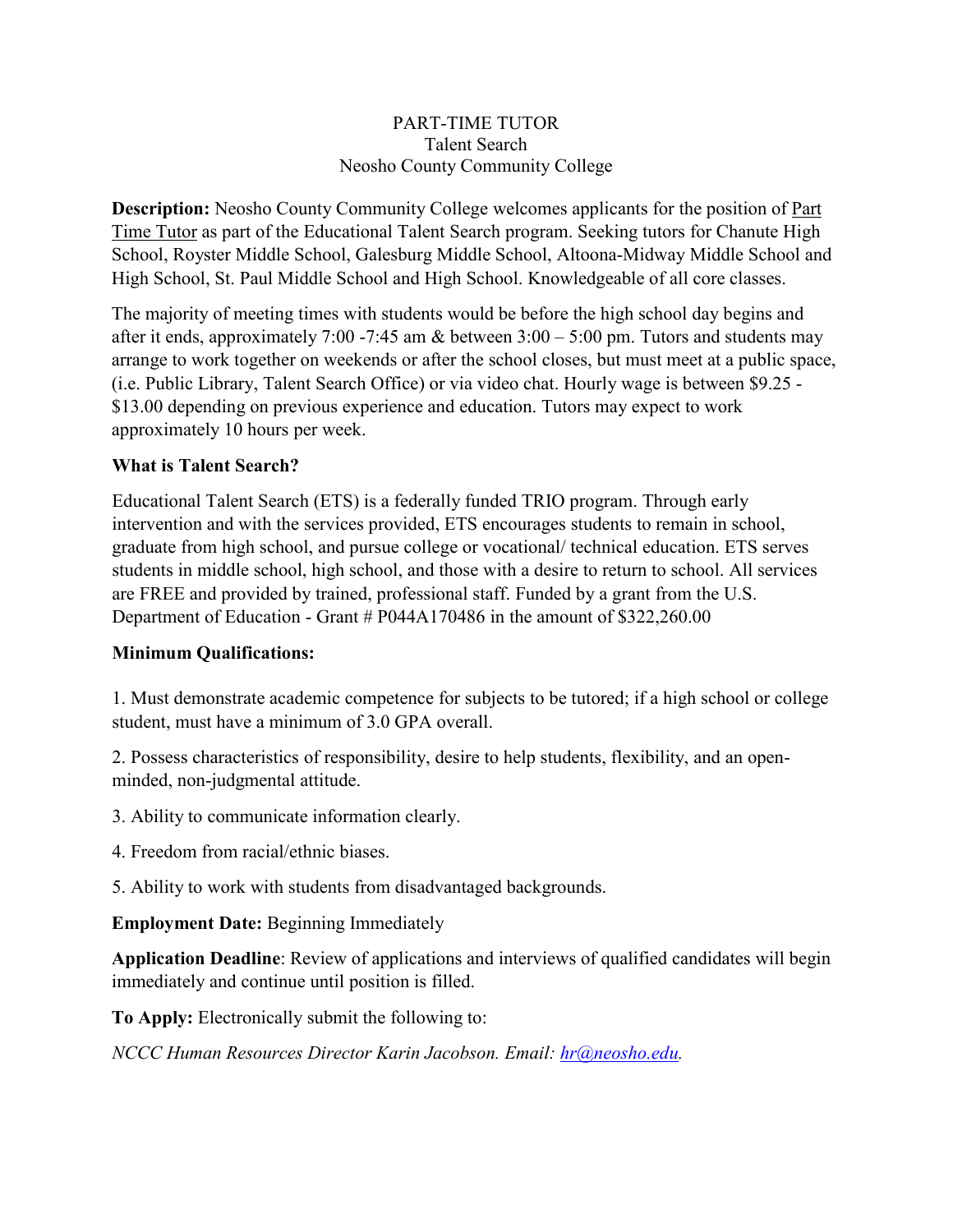## PART-TIME TUTOR Talent Search Neosho County Community College

**Description:** Neosho County Community College welcomes applicants for the position of Part Time Tutor as part of the Educational Talent Search program. Seeking tutors for Chanute High School, Royster Middle School, Galesburg Middle School, Altoona-Midway Middle School and High School, St. Paul Middle School and High School. Knowledgeable of all core classes.

The majority of meeting times with students would be before the high school day begins and after it ends, approximately 7:00 -7:45 am & between  $3:00 - 5:00$  pm. Tutors and students may arrange to work together on weekends or after the school closes, but must meet at a public space, (i.e. Public Library, Talent Search Office) or via video chat. Hourly wage is between \$9.25 - \$13.00 depending on previous experience and education. Tutors may expect to work approximately 10 hours per week.

## **What is Talent Search?**

Educational Talent Search (ETS) is a federally funded TRIO program. Through early intervention and with the services provided, ETS encourages students to remain in school, graduate from high school, and pursue college or vocational/ technical education. ETS serves students in middle school, high school, and those with a desire to return to school. All services are FREE and provided by trained, professional staff. Funded by a grant from the U.S. Department of Education - Grant # P044A170486 in the amount of \$322,260.00

## **Minimum Qualifications:**

1. Must demonstrate academic competence for subjects to be tutored; if a high school or college student, must have a minimum of 3.0 GPA overall.

2. Possess characteristics of responsibility, desire to help students, flexibility, and an openminded, non-judgmental attitude.

3. Ability to communicate information clearly.

4. Freedom from racial/ethnic biases.

5. Ability to work with students from disadvantaged backgrounds.

**Employment Date:** Beginning Immediately

**Application Deadline**: Review of applications and interviews of qualified candidates will begin immediately and continue until position is filled.

**To Apply:** Electronically submit the following to:

*NCCC Human Resources Director Karin Jacobson. Email: hr@neosho.edu.*